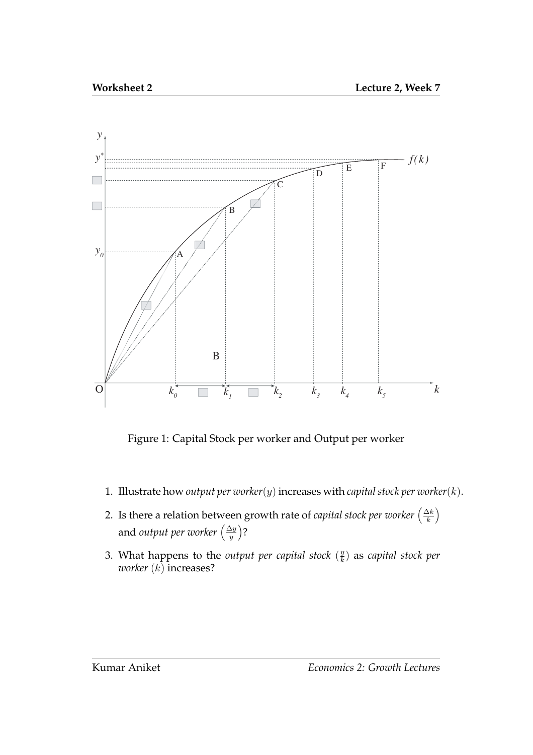

Figure 1: Capital Stock per worker and Output per worker

- 1. Illustrate how *output per worker*(y) increases with *capital stock per worker*( $k$ ).
- 2. Is there a relation between growth rate of *capital stock per worker*  $\left(\frac{\Delta k}{k}\right)$  $\frac{\Delta k}{k}$ and *output per worker*  $\left(\frac{\Delta y}{y}\right)$  $\frac{\Delta y}{y}$ ?
- 3. What happens to the *output per capital stock*  $(\frac{y}{k})$  $\frac{y}{k}$ ) as *capital stock per worker* (k) increases?